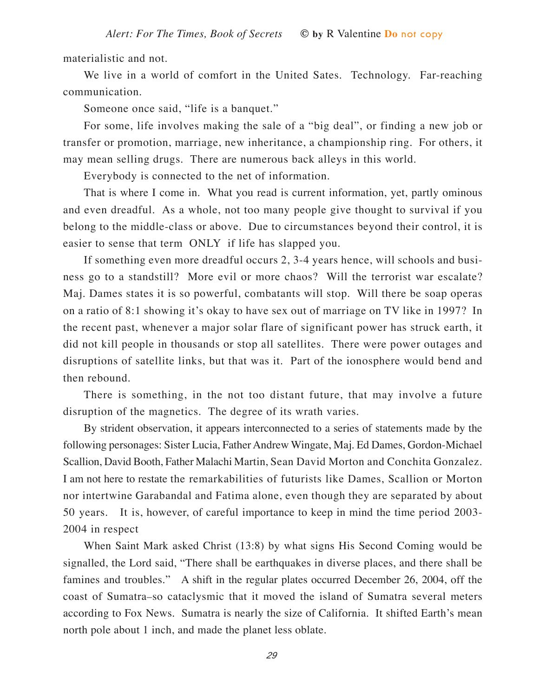materialistic and not.

We live in a world of comfort in the United Sates. Technology. Far-reaching communication.

Someone once said, "life is a banquet."

For some, life involves making the sale of a "big deal", or finding a new job or transfer or promotion, marriage, new inheritance, a championship ring. For others, it may mean selling drugs. There are numerous back alleys in this world.

Everybody is connected to the net of information.

That is where I come in. What you read is current information, yet, partly ominous and even dreadful. As a whole, not too many people give thought to survival if you belong to the middle-class or above. Due to circumstances beyond their control, it is easier to sense that term ONLY if life has slapped you.

If something even more dreadful occurs 2, 3-4 years hence, will schools and business go to a standstill? More evil or more chaos? Will the terrorist war escalate? Maj. Dames states it is so powerful, combatants will stop. Will there be soap operas on a ratio of 8:1 showing it's okay to have sex out of marriage on TV like in 1997? In the recent past, whenever a major solar flare of significant power has struck earth, it did not kill people in thousands or stop all satellites. There were power outages and disruptions of satellite links, but that was it. Part of the ionosphere would bend and then rebound.

There is something, in the not too distant future, that may involve a future disruption of the magnetics. The degree of its wrath varies.

By strident observation, it appears interconnected to a series of statements made by the following personages: Sister Lucia, Father Andrew Wingate, Maj. Ed Dames, Gordon-Michael Scallion, David Booth, Father Malachi Martin, Sean David Morton and Conchita Gonzalez. I am not here to restate the remarkabilities of futurists like Dames, Scallion or Morton nor intertwine Garabandal and Fatima alone, even though they are separated by about 50 years. It is, however, of careful importance to keep in mind the time period 2003- 2004 in respect

When Saint Mark asked Christ (13:8) by what signs His Second Coming would be signalled, the Lord said, "There shall be earthquakes in diverse places, and there shall be famines and troubles." A shift in the regular plates occurred December 26, 2004, off the coast of Sumatra–so cataclysmic that it moved the island of Sumatra several meters according to Fox News. Sumatra is nearly the size of California. It shifted Earth's mean north pole about 1 inch, and made the planet less oblate.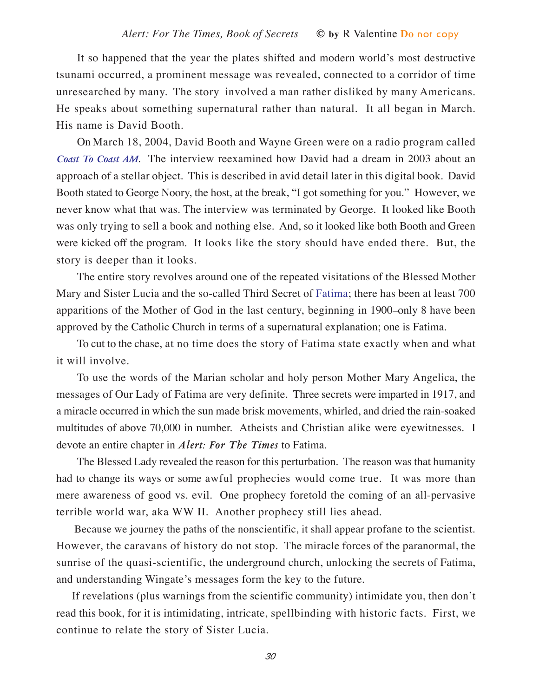It so happened that the year the plates shifted and modern world's most destructive tsunami occurred, a prominent message was revealed, connected to a corridor of time unresearched by many. The story involved a man rather disliked by many Americans. He speaks about something supernatural rather than natural. It all began in March. His name is David Booth.

On March 18, 2004, David Booth and Wayne Green were on a radio program called *Coast To Coast AM*. The interview reexamined how David had a dream in 2003 about an approach of a stellar object. This is described in avid detail later in this digital book. David Booth stated to George Noory, the host, at the break, "I got something for you." However, we never know what that was. The interview was terminated by George. It looked like Booth was only trying to sell a book and nothing else. And, so it looked like both Booth and Green were kicked off the program. It looks like the story should have ended there. But, the story is deeper than it looks.

The entire story revolves around one of the repeated visitations of the Blessed Mother Mary and Sister Lucia and the so-called Third Secret of Fatima; there has been at least 700 apparitions of the Mother of God in the last century, beginning in 1900–only 8 have been approved by the Catholic Church in terms of a supernatural explanation; one is Fatima.

To cut to the chase, at no time does the story of Fatima state exactly when and what it will involve.

To use the words of the Marian scholar and holy person Mother Mary Angelica, the messages of Our Lady of Fatima are very definite. Three secrets were imparted in 1917, and a miracle occurred in which the sun made brisk movements, whirled, and dried the rain-soaked multitudes of above 70,000 in number. Atheists and Christian alike were eyewitnesses. I devote an entire chapter in *Alert: For The Times* to Fatima.

The Blessed Lady revealed the reason for this perturbation. The reason was that humanity had to change its ways or some awful prophecies would come true. It was more than mere awareness of good vs. evil. One prophecy foretold the coming of an all-pervasive terrible world war, aka WW II. Another prophecy still lies ahead.

Because we journey the paths of the nonscientific, it shall appear profane to the scientist. However, the caravans of history do not stop. The miracle forces of the paranormal, the sunrise of the quasi-scientific, the underground church, unlocking the secrets of Fatima, and understanding Wingate's messages form the key to the future.

If revelations (plus warnings from the scientific community) intimidate you, then don't read this book, for it is intimidating, intricate, spellbinding with historic facts. First, we continue to relate the story of Sister Lucia.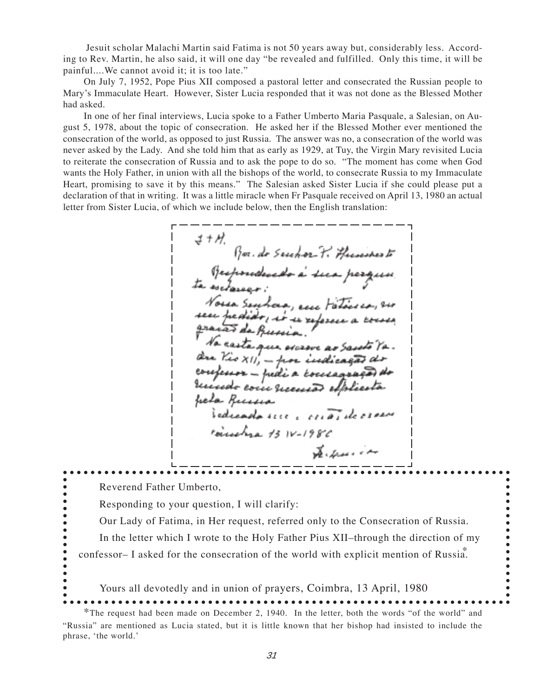Jesuit scholar Malachi Martin said Fatima is not 50 years away but, considerably less. According to Rev. Martin, he also said, it will one day "be revealed and fulfilled. Only this time, it will be painful....We cannot avoid it; it is too late."

On July 7, 1952, Pope Pius XII composed a pastoral letter and consecrated the Russian people to Mary's Immaculate Heart. However, Sister Lucia responded that it was not done as the Blessed Mother had asked.

In one of her final interviews, Lucia spoke to a Father Umberto Maria Pasquale, a Salesian, on August 5, 1978, about the topic of consecration. He asked her if the Blessed Mother ever mentioned the consecration of the world, as opposed to just Russia. The answer was no, a consecration of the world was never asked by the Lady. And she told him that as early as 1929, at Tuy, the Virgin Mary revisited Lucia to reiterate the consecration of Russia and to ask the pope to do so. "The moment has come when God wants the Holy Father, in union with all the bishops of the world, to consecrate Russia to my Immaculate Heart, promising to save it by this means." The Salesian asked Sister Lucia if she could please put a declaration of that in writing. It was a little miracle when Fr Pasquale received on April 13, 1980 an actual letter from Sister Lucia, of which we include below, then the English translation:

さ+か Gor. do Secchor P. Humines E Respondendo à sua perquis.<br>ta esclassar: Norsa Senhora, en Fáticio, no seen pressido, io se xe graves de quesia. No easta que oscrove ao Santo Que Vio XII, - por indicação confessor - fredi a consagra receido com recessão elp freta Puccessa edicada rece corrã rousehre 13 1V-1986 يىم نوپىدىكى كې

Reverend Father Umberto,

phrase, 'the world.'

 $\bullet$ 

Responding to your question, I will clarify:

Our Lady of Fatima, in Her request, referred only to the Consecration of Russia.

. . . . . . . . . . . . .

In the letter which I wrote to the Holy Father Pius XII–through the direction of my confessor– I asked for the consecration of the world with explicit mention of Russia.

Yours all devotedly and in union of prayers, Coimbra, 13 April, 1980 \*The request had been made on December 2, 1940. In the letter, both the words "of the world" and "Russia" are mentioned as Lucia stated, but it is little known that her bishop had insisted to include the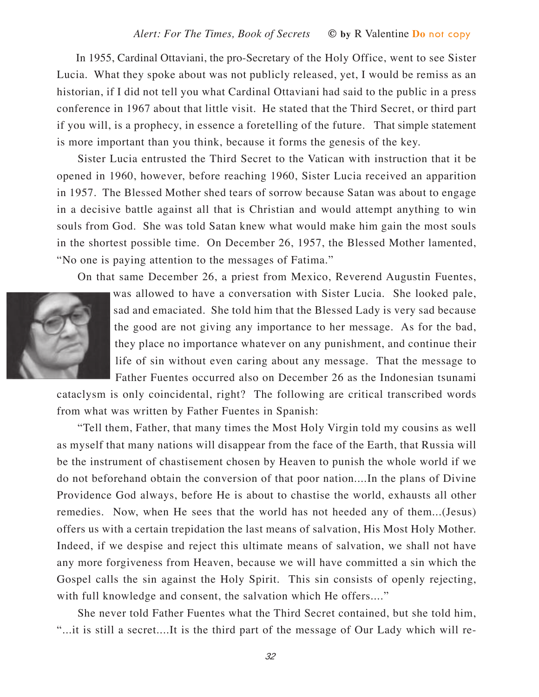In 1955, Cardinal Ottaviani, the pro-Secretary of the Holy Office, went to see Sister Lucia. What they spoke about was not publicly released, yet, I would be remiss as an historian, if I did not tell you what Cardinal Ottaviani had said to the public in a press conference in 1967 about that little visit. He stated that the Third Secret, or third part if you will, is a prophecy, in essence a foretelling of the future. That simple statement is more important than you think, because it forms the genesis of the key.

Sister Lucia entrusted the Third Secret to the Vatican with instruction that it be opened in 1960, however, before reaching 1960, Sister Lucia received an apparition in 1957. The Blessed Mother shed tears of sorrow because Satan was about to engage in a decisive battle against all that is Christian and would attempt anything to win souls from God. She was told Satan knew what would make him gain the most souls in the shortest possible time. On December 26, 1957, the Blessed Mother lamented, "No one is paying attention to the messages of Fatima."

On that same December 26, a priest from Mexico, Reverend Augustin Fuentes,



was allowed to have a conversation with Sister Lucia. She looked pale, sad and emaciated. She told him that the Blessed Lady is very sad because the good are not giving any importance to her message. As for the bad, they place no importance whatever on any punishment, and continue their life of sin without even caring about any message. That the message to Father Fuentes occurred also on December 26 as the Indonesian tsunami

cataclysm is only coincidental, right? The following are critical transcribed words from what was written by Father Fuentes in Spanish:

"Tell them, Father, that many times the Most Holy Virgin told my cousins as well as myself that many nations will disappear from the face of the Earth, that Russia will be the instrument of chastisement chosen by Heaven to punish the whole world if we do not beforehand obtain the conversion of that poor nation....In the plans of Divine Providence God always, before He is about to chastise the world, exhausts all other remedies. Now, when He sees that the world has not heeded any of them...(Jesus) offers us with a certain trepidation the last means of salvation, His Most Holy Mother. Indeed, if we despise and reject this ultimate means of salvation, we shall not have any more forgiveness from Heaven, because we will have committed a sin which the Gospel calls the sin against the Holy Spirit. This sin consists of openly rejecting, with full knowledge and consent, the salvation which He offers...."

She never told Father Fuentes what the Third Secret contained, but she told him, "...it is still a secret....It is the third part of the message of Our Lady which will re-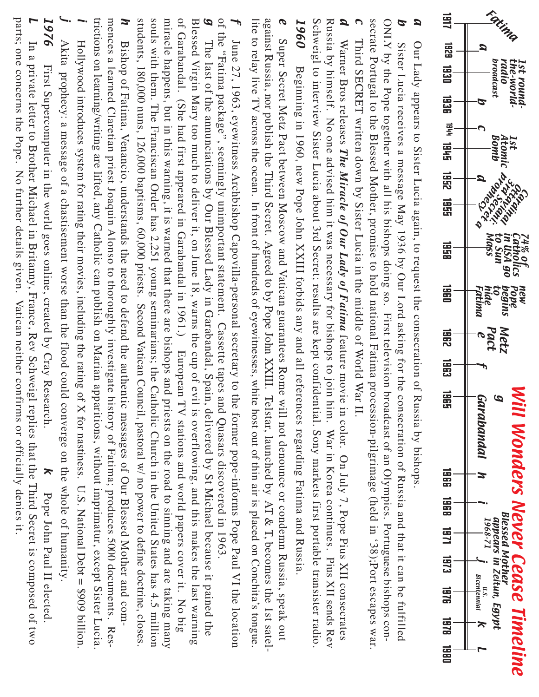

 $\blacksquare$  $\mathbf 2$ 7 6 First S u p erc o m p uter in th e w orld g o es o nlin e, cre ate d  $\mathbf{\hat{z}}$ Cra y  $\Xi$ ese arc h.  $\lambda$ P o p e J o h n  $_{\rm I}$ us $_{\rm d}$  $\Box$ ele cte d. L In a priv ate letter to Broth er Mic h a el in Brita n n y, France, R e v S c h w eigl re plies th  $\frac{a}{2}$ th e  $\exists$ hird S e cret is c o m p ose d o f tw o p arts; o n e c o n c erns th e P o p e. N o f urth er d etails giv e n. Vatic a n n eith er c o n firms or o fficially d e nies it.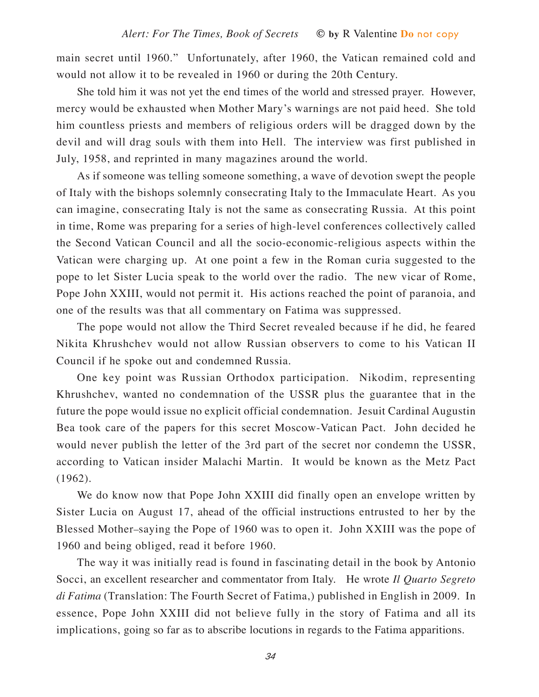main secret until 1960." Unfortunately, after 1960, the Vatican remained cold and would not allow it to be revealed in 1960 or during the 20th Century.

She told him it was not yet the end times of the world and stressed prayer. However, mercy would be exhausted when Mother Mary's warnings are not paid heed. She told him countless priests and members of religious orders will be dragged down by the devil and will drag souls with them into Hell. The interview was first published in July, 1958, and reprinted in many magazines around the world.

As if someone was telling someone something, a wave of devotion swept the people of Italy with the bishops solemnly consecrating Italy to the Immaculate Heart. As you can imagine, consecrating Italy is not the same as consecrating Russia. At this point in time, Rome was preparing for a series of high-level conferences collectively called the Second Vatican Council and all the socio-economic-religious aspects within the Vatican were charging up. At one point a few in the Roman curia suggested to the pope to let Sister Lucia speak to the world over the radio. The new vicar of Rome, Pope John XXIII, would not permit it. His actions reached the point of paranoia, and one of the results was that all commentary on Fatima was suppressed.

The pope would not allow the Third Secret revealed because if he did, he feared Nikita Khrushchev would not allow Russian observers to come to his Vatican II Council if he spoke out and condemned Russia.

One key point was Russian Orthodox participation. Nikodim, representing Khrushchev, wanted no condemnation of the USSR plus the guarantee that in the future the pope would issue no explicit official condemnation. Jesuit Cardinal Augustin Bea took care of the papers for this secret Moscow-Vatican Pact. John decided he would never publish the letter of the 3rd part of the secret nor condemn the USSR, according to Vatican insider Malachi Martin. It would be known as the Metz Pact (1962).

We do know now that Pope John XXIII did finally open an envelope written by Sister Lucia on August 17, ahead of the official instructions entrusted to her by the Blessed Mother–saying the Pope of 1960 was to open it. John XXIII was the pope of 1960 and being obliged, read it before 1960.

The way it was initially read is found in fascinating detail in the book by Antonio Socci, an excellent researcher and commentator from Italy. He wrote *Il Quarto Segreto di Fatima* (Translation: The Fourth Secret of Fatima,) published in English in 2009. In essence, Pope John XXIII did not believe fully in the story of Fatima and all its implications, going so far as to abscribe locutions in regards to the Fatima apparitions.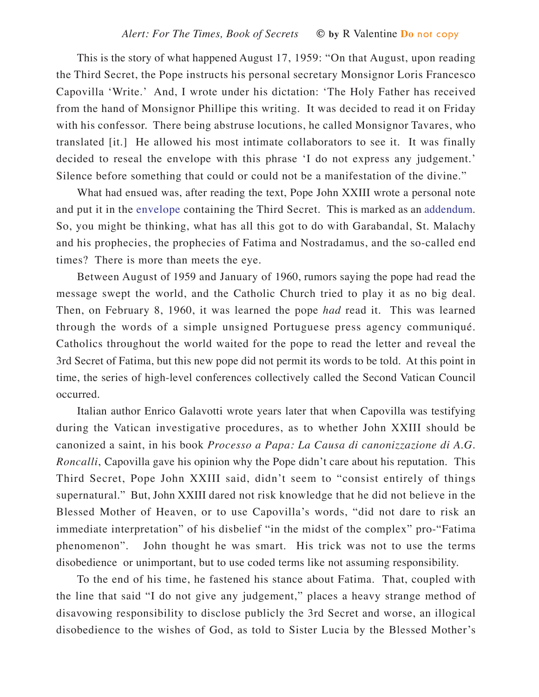This is the story of what happened August 17, 1959: "On that August, upon reading the Third Secret, the Pope instructs his personal secretary Monsignor Loris Francesco Capovilla 'Write.' And, I wrote under his dictation: 'The Holy Father has received from the hand of Monsignor Phillipe this writing. It was decided to read it on Friday with his confessor. There being abstruse locutions, he called Monsignor Tavares, who translated [it.] He allowed his most intimate collaborators to see it. It was finally decided to reseal the envelope with this phrase 'I do not express any judgement.' Silence before something that could or could not be a manifestation of the divine."

What had ensued was, after reading the text, Pope John XXIII wrote a personal note and put it in the envelope containing the Third Secret. This is marked as an addendum. So, you might be thinking, what has all this got to do with Garabandal, St. Malachy and his prophecies, the prophecies of Fatima and Nostradamus, and the so-called end times? There is more than meets the eye.

Between August of 1959 and January of 1960, rumors saying the pope had read the message swept the world, and the Catholic Church tried to play it as no big deal. Then, on February 8, 1960, it was learned the pope *had* read it. This was learned through the words of a simple unsigned Portuguese press agency communiqué. Catholics throughout the world waited for the pope to read the letter and reveal the 3rd Secret of Fatima, but this new pope did not permit its words to be told. At this point in time, the series of high-level conferences collectively called the Second Vatican Council occurred.

Italian author Enrico Galavotti wrote years later that when Capovilla was testifying during the Vatican investigative procedures, as to whether John XXIII should be canonized a saint, in his book *Processo a Papa: La Causa di canonizzazione di A.G. Roncalli*, Capovilla gave his opinion why the Pope didn't care about his reputation. This Third Secret, Pope John XXIII said, didn't seem to "consist entirely of things supernatural." But, John XXIII dared not risk knowledge that he did not believe in the Blessed Mother of Heaven, or to use Capovilla's words, "did not dare to risk an immediate interpretation" of his disbelief "in the midst of the complex" pro-"Fatima phenomenon". John thought he was smart. His trick was not to use the terms disobedience or unimportant, but to use coded terms like not assuming responsibility.

To the end of his time, he fastened his stance about Fatima. That, coupled with the line that said "I do not give any judgement," places a heavy strange method of disavowing responsibility to disclose publicly the 3rd Secret and worse, an illogical disobedience to the wishes of God, as told to Sister Lucia by the Blessed Mother's